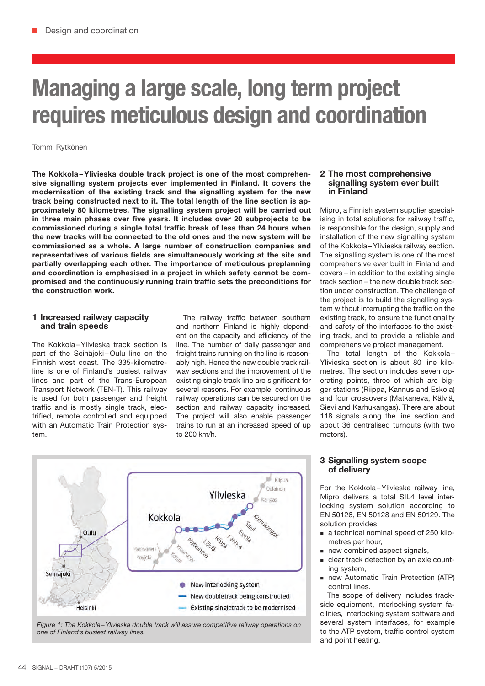# Managing a large scale, long term project requires meticulous design and coordination

### Tommi Rytkönen

The Kokkola –Ylivieska double track project is one of the most comprehensive signalling system projects ever implemented in Finland. It covers the modernisation of the existing track and the signalling system for the new track being constructed next to it. The total length of the line section is approximately 80 kilometres. The signalling system project will be carried out in three main phases over five years. It includes over 20 subprojects to be commissioned during a single total traffic break of less than 24 hours when the new tracks will be connected to the old ones and the new system will be commissioned as a whole. A large number of construction companies and representatives of various fields are simultaneously working at the site and partially overlapping each other. The importance of meticulous preplanning and coordination is emphasised in a project in which safety cannot be compromised and the continuously running train traffic sets the preconditions for the construction work.

### 1 Increased railway capacity and train speeds

The Kokkola-Ylivieska track section is part of the Seinäjoki-Oulu line on the Finnish west coast. The 335-kilometreline is one of Finland's busiest railway lines and part of the Trans-European Transport Network (TEN-T). This railway is used for both passenger and freight traffic and is mostly single track, electrified, remote controlled and equipped with an Automatic Train Protection system.

The railway traffic between southern and northern Finland is highly dependent on the capacity and efficiency of the line. The number of daily passenger and freight trains running on the line is reasonably high. Hence the new double track railway sections and the improvement of the existing single track line are significant for several reasons. For example, continuous railway operations can be secured on the section and railway capacity increased. The project will also enable passenger trains to run at an increased speed of up to 200 km/h.

#### 2 The most comprehensive signalling system ever built in Finland

Mipro, a Finnish system supplier specialising in total solutions for railway traffic, is responsible for the design, supply and installation of the new signalling system of the Kokkola –Ylivieska railway section. The signalling system is one of the most comprehensive ever built in Finland and covers – in addition to the existing single track section – the new double track section under construction. The challenge of the project is to build the signalling system without interrupting the traffic on the existing track, to ensure the functionality and safety of the interfaces to the existing track, and to provide a reliable and comprehensive project management.

The total length of the Kokkola-Ylivieska section is about 80 line kilometres. The section includes seven operating points, three of which are bigger stations (Riippa, Kannus and Eskola) and four crossovers (Matkaneva, Kälviä, Sievi and Karhukangas). There are about 118 signals along the line section and about 36 centralised turnouts (with two motors).



*Figure 1: The Kokkola –Ylivieska double track will assure competitive railway operations on one of Finland's busiest railway lines.*

## 3 Signalling system scope of delivery

For the Kokkola-Ylivieska railway line, Mipro delivers a total SIL4 level interlocking system solution according to EN 50126, EN 50128 and EN 50129. The solution provides:

- a technical nominal speed of 250 kilometres per hour,
- new combined aspect signals,
- clear track detection by an axle counting system,
- new Automatic Train Protection (ATP) control lines.

The scope of delivery includes trackside equipment, interlocking system facilities, interlocking system software and several system interfaces, for example to the ATP system, traffic control system and point heating.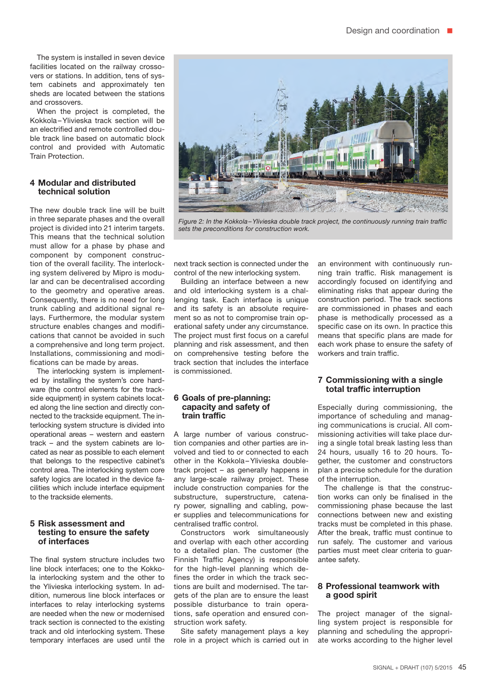The system is installed in seven device facilities located on the railway crossovers or stations. In addition, tens of system cabinets and approximately ten sheds are located between the stations and crossovers.

When the project is completed, the Kokkola –Ylivieska track section will be an electrified and remote controlled double track line based on automatic block control and provided with Automatic Train Protection.

## 4 Modular and distributed technical solution

The new double track line will be built in three separate phases and the overall project is divided into 21 interim targets. This means that the technical solution must allow for a phase by phase and component by component construction of the overall facility. The interlocking system delivered by Mipro is modular and can be decentralised according to the geometry and operative areas. Consequently, there is no need for long trunk cabling and additional signal relays. Furthermore, the modular system structure enables changes and modifications that cannot be avoided in such a comprehensive and long term project. Installations, commissioning and modifications can be made by areas.

The interlocking system is implemented by installing the system's core hardware (the control elements for the trackside equipment) in system cabinets located along the line section and directly connected to the trackside equipment. The interlocking system structure is divided into operational areas – western and eastern track – and the system cabinets are located as near as possible to each element that belongs to the respective cabinet's control area. The interlocking system core safety logics are located in the device facilities which include interface equipment to the trackside elements.

#### 5 Risk assessment and testing to ensure the safety of interfaces

The final system structure includes two line block interfaces; one to the Kokkola interlocking system and the other to the Ylivieska interlocking system. In addition, numerous line block interfaces or interfaces to relay interlocking systems are needed when the new or modernised track section is connected to the existing track and old interlocking system. These temporary interfaces are used until the



*Figure 2: In the Kokkola –Ylivieska double track project, the continuously running train traffic sets the preconditions for construction work.*

next track section is connected under the control of the new interlocking system.

Building an interface between a new and old interlocking system is a challenging task. Each interface is unique and its safety is an absolute requirement so as not to compromise train operational safety under any circumstance. The project must first focus on a careful planning and risk assessment, and then on comprehensive testing before the track section that includes the interface is commissioned.

#### 6 Goals of pre-planning: capacity and safety of train traffic

A large number of various construction companies and other parties are involved and tied to or connected to each other in the Kokkola –Ylivieska doubletrack project – as generally happens in any large-scale railway project. These include construction companies for the substructure, superstructure, catenary power, signalling and cabling, power supplies and telecommunications for centralised traffic control.

Constructors work simultaneously and overlap with each other according to a detailed plan. The customer (the Finnish Traffic Agency) is responsible for the high-level planning which defines the order in which the track sections are built and modernised. The targets of the plan are to ensure the least possible disturbance to train operations, safe operation and ensured construction work safety.

Site safety management plays a key role in a project which is carried out in an environment with continuously running train traffic. Risk management is accordingly focused on identifying and eliminating risks that appear during the construction period. The track sections are commissioned in phases and each phase is methodically processed as a specific case on its own. In practice this means that specific plans are made for each work phase to ensure the safety of workers and train traffic.

## 7 Commissioning with a single total traffic interruption

Especially during commissioning, the importance of scheduling and managing communications is crucial. All commissioning activities will take place during a single total break lasting less than 24 hours, usually 16 to 20 hours. Together, the customer and constructors plan a precise schedule for the duration of the interruption.

The challenge is that the construction works can only be finalised in the commissioning phase because the last connections between new and existing tracks must be completed in this phase. After the break, traffic must continue to run safely. The customer and various parties must meet clear criteria to guarantee safety.

#### 8 Professional teamwork with a good spirit

The project manager of the signalling system project is responsible for planning and scheduling the appropriate works according to the higher level